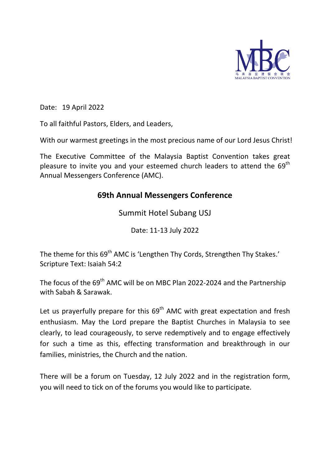

Date: 19 April 2022

To all faithful Pastors, Elders, and Leaders,

With our warmest greetings in the most precious name of our Lord Jesus Christ!

The Executive Committee of the Malaysia Baptist Convention takes great pleasure to invite you and your esteemed church leaders to attend the  $69<sup>th</sup>$ Annual Messengers Conference (AMC).

## **69th Annual Messengers Conference**

Summit Hotel Subang USJ

Date: 11-13 July 2022

The theme for this 69<sup>th</sup> AMC is 'Lengthen Thy Cords, Strengthen Thy Stakes.' Scripture Text: Isaiah 54:2

The focus of the  $69<sup>th</sup>$  AMC will be on MBC Plan 2022-2024 and the Partnership with Sabah & Sarawak.

Let us prayerfully prepare for this  $69<sup>th</sup>$  AMC with great expectation and fresh enthusiasm. May the Lord prepare the Baptist Churches in Malaysia to see clearly, to lead courageously, to serve redemptively and to engage effectively for such a time as this, effecting transformation and breakthrough in our families, ministries, the Church and the nation.

There will be a forum on Tuesday, 12 July 2022 and in the registration form, you will need to tick on of the forums you would like to participate.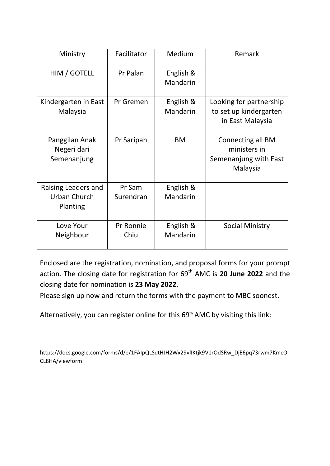| Ministry                                        | Facilitator         | Medium                | Remark                                                                 |
|-------------------------------------------------|---------------------|-----------------------|------------------------------------------------------------------------|
| HIM / GOTELL                                    | Pr Palan            | English &<br>Mandarin |                                                                        |
| Kindergarten in East<br>Malaysia                | Pr Gremen           | English &<br>Mandarin | Looking for partnership<br>to set up kindergarten<br>in East Malaysia  |
| Panggilan Anak<br>Negeri dari<br>Semenanjung    | Pr Saripah          | <b>BM</b>             | Connecting all BM<br>ministers in<br>Semenanjung with East<br>Malaysia |
| Raising Leaders and<br>Urban Church<br>Planting | Pr Sam<br>Surendran | English &<br>Mandarin |                                                                        |
| Love Your<br>Neighbour                          | Pr Ronnie<br>Chiu   | English &<br>Mandarin | <b>Social Ministry</b>                                                 |

Enclosed are the registration, nomination, and proposal forms for your prompt action. The closing date for registration for 69<sup>th</sup> AMC is 20 June 2022 and the closing date for nomination is **23 May 2022**.

Please sign up now and return the forms with the payment to MBC soonest.

Alternatively, you can register online for this 69<sup>th</sup> AMC by visiting this link:

https://docs.google.com/forms/d/e/1FAIpQLSdtHJH2Wx29vlIKtjk9V1rOdSRw\_DjE6pq73rwm7KmcO CL8HA/viewform